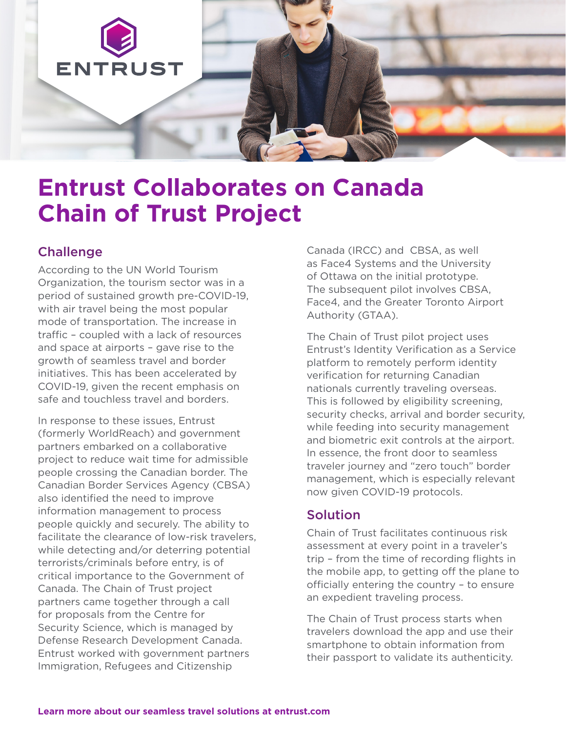

# **Entrust Collaborates on Canada Chain of Trust Project**

### **Challenge**

According to the UN World Tourism Organization, the tourism sector was in a period of sustained growth pre-COVID-19, with air travel being the most popular mode of transportation. The increase in traffic – coupled with a lack of resources and space at airports – gave rise to the growth of seamless travel and border initiatives. This has been accelerated by COVID-19, given the recent emphasis on safe and touchless travel and borders.

In response to these issues, Entrust (formerly WorldReach) and government partners embarked on a collaborative project to reduce wait time for admissible people crossing the Canadian border. The Canadian Border Services Agency (CBSA) also identified the need to improve information management to process people quickly and securely. The ability to facilitate the clearance of low-risk travelers, while detecting and/or deterring potential terrorists/criminals before entry, is of critical importance to the Government of Canada. The Chain of Trust project partners came together through a call for proposals from the Centre for Security Science, which is managed by Defense Research Development Canada. Entrust worked with government partners Immigration, Refugees and Citizenship

Canada (IRCC) and CBSA, as well as Face4 Systems and the University of Ottawa on the initial prototype. The subsequent pilot involves CBSA, Face4, and the Greater Toronto Airport Authority (GTAA).

The Chain of Trust pilot project uses Entrust's Identity Verification as a Service platform to remotely perform identity verification for returning Canadian nationals currently traveling overseas. This is followed by eligibility screening, security checks, arrival and border security, while feeding into security management and biometric exit controls at the airport. In essence, the front door to seamless traveler journey and "zero touch" border management, which is especially relevant now given COVID-19 protocols.

## Solution

Chain of Trust facilitates continuous risk assessment at every point in a traveler's trip – from the time of recording flights in the mobile app, to getting off the plane to officially entering the country – to ensure an expedient traveling process.

The Chain of Trust process starts when travelers download the app and use their smartphone to obtain information from their passport to validate its authenticity.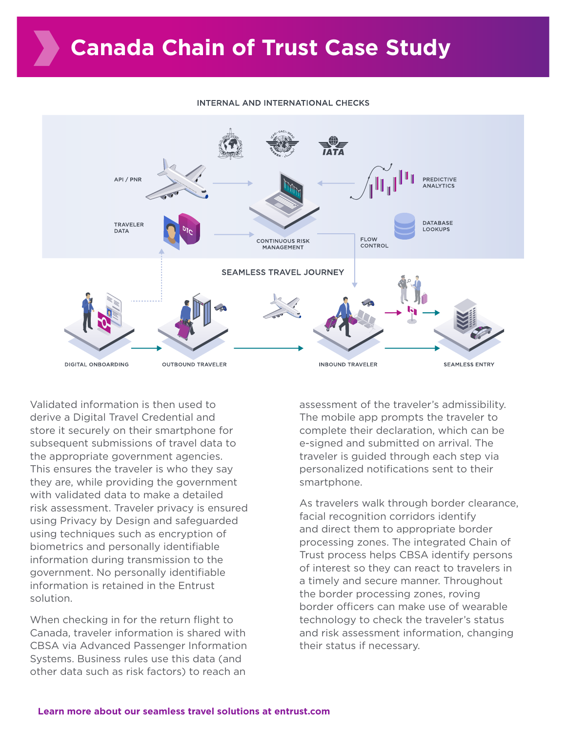#### INTERNAL AND INTERNATIONAL CHECKS



Validated information is then used to derive a Digital Travel Credential and store it securely on their smartphone for subsequent submissions of travel data to the appropriate government agencies. This ensures the traveler is who they say they are, while providing the government with validated data to make a detailed risk assessment. Traveler privacy is ensured using Privacy by Design and safeguarded using techniques such as encryption of biometrics and personally identifiable information during transmission to the government. No personally identifiable information is retained in the Entrust solution.

When checking in for the return flight to Canada, traveler information is shared with CBSA via Advanced Passenger Information Systems. Business rules use this data (and other data such as risk factors) to reach an

assessment of the traveler's admissibility. The mobile app prompts the traveler to complete their declaration, which can be e-signed and submitted on arrival. The traveler is guided through each step via personalized notifications sent to their smartphone.

As travelers walk through border clearance, facial recognition corridors identify and direct them to appropriate border processing zones. The integrated Chain of Trust process helps CBSA identify persons of interest so they can react to travelers in a timely and secure manner. Throughout the border processing zones, roving border officers can make use of wearable technology to check the traveler's status and risk assessment information, changing their status if necessary.